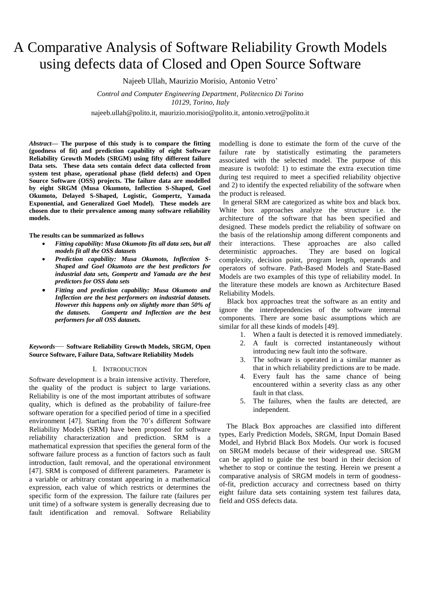# A Comparative Analysis of Software Reliability Growth Models using defects data of Closed and Open Source Software

Najeeb Ullah, Maurizio Morisio, Antonio Vetro'

*Control and Computer Engineering Department, Politecnico Di Torino 10129, Torino, Italy*

najeeb.ullah@polito.it, maurizio.morisio@polito.it, antonio.vetro@polito.it

*Abstract***— The purpose of this study is to compare the fitting (goodness of fit) and prediction capability of eight Software Reliability Growth Models (SRGM) using fifty different failure Data sets. These data sets contain defect data collected from system test phase, operational phase (field defects) and Open Source Software (OSS) projects. The failure data are modelled by eight SRGM (Musa Okumoto, Inflection S-Shaped, Goel Okumoto, Delayed S-Shaped, Logistic, Gompertz, Yamada Exponential, and Generalized Goel Model). These models are chosen due to their prevalence among many software reliability models.** 

#### **The results can be summarized as follows**

- *Fitting capability: Musa Okumoto fits all data sets, but all models fit all the OSS datasets*
- *Prediction capability: Musa Okumoto, Inflection S-Shaped and Goel Okumoto are the best predictors for industrial data sets, Gompertz and Yamada are the best predictors for OSS data sets*
- *Fitting and prediction capability: Musa Okumoto and Inflection are the best performers on industrial datasets. However this happens only on slightly more than 50% of the datasets. Gompertz and Inflection are the best performers for all OSS datasets.*

# *Keywords*— **Software Reliability Growth Models, SRGM, Open Source Software, Failure Data, Software Reliability Models**

#### I. INTRODUCTION

Software development is a brain intensive activity. Therefore, the quality of the product is subject to large variations. Reliability is one of the most important attributes of software quality, which is defined as the probability of failure-free software operation for a specified period of time in a specified environment [47]. Starting from the 70's different Software Reliability Models (SRM) have been proposed for software reliability characterization and prediction. SRM is a mathematical expression that specifies the general form of the software failure process as a function of factors such as fault introduction, fault removal, and the operational environment [47]. SRM is composed of different parameters. Parameter is a variable or arbitrary constant appearing in a mathematical expression, each value of which restricts or determines the specific form of the expression. The failure rate (failures per unit time) of a software system is generally decreasing due to fault identification and removal. Software Reliability

modelling is done to estimate the form of the curve of the failure rate by statistically estimating the parameters associated with the selected model. The purpose of this measure is twofold: 1) to estimate the extra execution time during test required to meet a specified reliability objective and 2) to identify the expected reliability of the software when the product is released.

 In general SRM are categorized as white box and black box. White box approaches analyze the structure i.e. the architecture of the software that has been specified and designed. These models predict the reliability of software on the basis of the relationship among different components and their interactions. These approaches are also called deterministic approaches. They are based on logical complexity, decision point, program length, operands and operators of software. Path-Based Models and State-Based Models are two examples of this type of reliability model. In the literature these models are known as Architecture Based Reliability Models.

Black box approaches treat the software as an entity and ignore the interdependencies of the software internal components. There are some basic assumptions which are similar for all these kinds of models [49].

- 1. When a fault is detected it is removed immediately.
- 2. A fault is corrected instantaneously without introducing new fault into the software.
- 3. The software is operated in a similar manner as that in which reliability predictions are to be made.
- 4. Every fault has the same chance of being encountered within a severity class as any other fault in that class.
- 5. The failures, when the faults are detected, are independent.

 The Black Box approaches are classified into different types, Early Prediction Models, SRGM, Input Domain Based Model, and Hybrid Black Box Models. Our work is focused on SRGM models because of their widespread use. SRGM can be applied to guide the test board in their decision of whether to stop or continue the testing. Herein we present a comparative analysis of SRGM models in term of goodnessof-fit, prediction accuracy and correctness based on thirty eight failure data sets containing system test failures data, field and OSS defects data.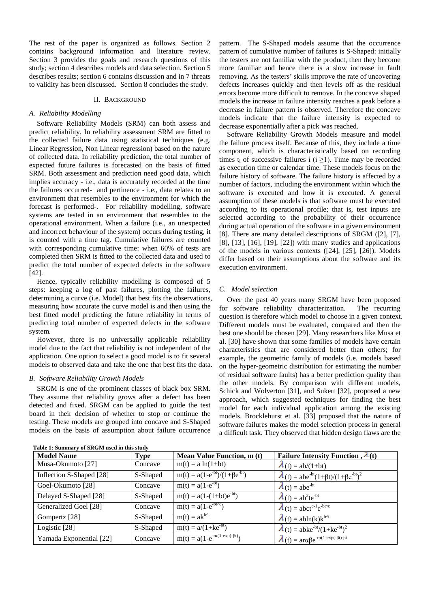The rest of the paper is organized as follows. Section 2 contains background information and literature review. Section 3 provides the goals and research questions of this study; section 4 describes models and data selection. Section 5 describes results; section 6 contains discussion and in 7 threats to validity has been discussed. Section 8 concludes the study.

#### II. BACKGROUND

# *A. Reliability Modelling*

Software Reliability Models (SRM) can both assess and predict reliability. In reliability assessment SRM are fitted to the collected failure data using statistical techniques (e.g. Linear Regression, Non Linear regression) based on the nature of collected data. In reliability prediction, the total number of expected future failures is forecasted on the basis of fitted SRM. Both assessment and prediction need good data, which implies accuracy - i.e., data is accurately recorded at the time the failures occurred- and pertinence - i.e., data relates to an environment that resembles to the environment for which the forecast is performed-. For reliability modelling, software systems are tested in an environment that resembles to the operational environment. When a failure (i.e., an unexpected and incorrect behaviour of the system) occurs during testing, it is counted with a time tag. Cumulative failures are counted with corresponding cumulative time: when 60% of tests are completed then SRM is fitted to the collected data and used to predict the total number of expected defects in the software [42].

Hence, typically reliability modelling is composed of 5 steps: keeping a log of past failures, plotting the failures, determining a curve (i.e. Model) that best fits the observations, measuring how accurate the curve model is and then using the best fitted model predicting the future reliability in terms of predicting total number of expected defects in the software system.

However, there is no universally applicable reliability model due to the fact that reliability is not independent of the application. One option to select a good model is to fit several models to observed data and take the one that best fits the data.

#### *B. Software Reliability Growth Models*

SRGM is one of the prominent classes of black box SRM. They assume that reliability grows after a defect has been detected and fixed. SRGM can be applied to guide the test board in their decision of whether to stop or continue the testing. These models are grouped into concave and S-Shaped models on the basis of assumption about failure occurrence

pattern. The S-Shaped models assume that the occurrence pattern of cumulative number of failures is S-Shaped: initially the testers are not familiar with the product, then they become more familiar and hence there is a slow increase in fault removing. As the testers' skills improve the rate of uncovering defects increases quickly and then levels off as the residual errors become more difficult to remove. In the concave shaped models the increase in failure intensity reaches a peak before a decrease in failure pattern is observed. Therefore the concave models indicate that the failure intensity is expected to decrease exponentially after a pick was reached.

Software Reliability Growth Models measure and model the failure process itself. Because of this, they include a time component, which is characteristically based on recording times t<sub>i</sub> of successive failures i (i  $\geq$ 1). Time may be recorded as execution time or calendar time. These models focus on the failure history of software. The failure history is affected by a number of factors, including the environment within which the software is executed and how it is executed. A general assumption of these models is that software must be executed according to its operational profile; that is, test inputs are selected according to the probability of their occurrence during actual operation of the software in a given environment [8]. There are many detailed descriptions of SRGM ([2], [7], [8], [13], [16], [19], [22]) with many studies and applications of the models in various contexts ([24], [25], [26]). Models differ based on their assumptions about the software and its execution environment.

#### *C. Model selection*

Over the past 40 years many SRGM have been proposed for software reliability characterization. The recurring question is therefore which model to choose in a given context. Different models must be evaluated, compared and then the best one should be chosen [29]. Many researchers like Musa et al. [30] have shown that some families of models have certain characteristics that are considered better than others; for example, the geometric family of models (i.e. models based on the hyper-geometric distribution for estimating the number of residual software faults) has a better prediction quality than the other models. By comparison with different models, Schick and Wolverton [31], and Sukert [32], proposed a new approach, which suggested techniques for finding the best model for each individual application among the existing models. Brocklehurst et al. [33] proposed that the nature of software failures makes the model selection process in general a difficult task. They observed that hidden design flaws are the

| <b>Model Name</b>        | <b>Type</b> | Mean Value Function, m (t)                   | Failure Intensity Function , $\lambda(t)$                                 |
|--------------------------|-------------|----------------------------------------------|---------------------------------------------------------------------------|
| Musa-Okumoto [27]        | Concave     | $m(t) = a ln(1+bt)$                          | $\lambda(t) = ab/(1+bt)$                                                  |
| Inflection S-Shaped [28] | S-Shaped    | $m(t) = a(1-e^{-bt})/(1+\beta e^{-bt})$      | $\lambda(t) = abc^{-bt}(1+\beta t)/(1+\beta e^{-bt})^2$                   |
| Goel-Okumoto [28]        | Concave     | $m(t) = a(1-e^{-bt})$                        | $\lambda(t) = abc^{-bt}$                                                  |
| Delayed S-Shaped [28]    | S-Shaped    | $m(t) = a(1-(1+bt)e^{-bt})$                  | $\lambda(t) = ab^2te^{-bt}$                                               |
| Generalized Goel [28]    | Concave     | $m(t) = a(1-e^{-bt\sqrt{c}})$                | $\lambda(t) = abc t^{c-1} e^{-bt^c}$                                      |
| Gompertz [28]            | S-Shaped    | $m(t) = ak^{b \wedge t}$                     | $\lambda(t) = abln(k)k^{b^{\wedge}t}$                                     |
| Logistic [28]            | S-Shaped    | $m(t) = a/(1 + ke^{-bt})$                    | $\lambda(t) = abke^{-bt}/(1+ke^{-bt})^2$                                  |
| Yamada Exponential [22]  | Concave     | $m(t) = a(1-e^{-r\alpha(1-\exp(-\beta t))})$ | $\lambda(t) = \alpha \alpha \beta e^{-r\alpha(1-\exp(-\beta t)-\beta t)}$ |

| Table 1: Summary of SRGM used in this study |  |  |  |
|---------------------------------------------|--|--|--|
|---------------------------------------------|--|--|--|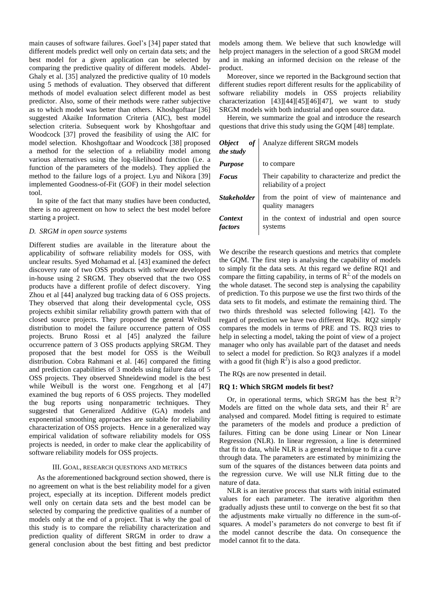main causes of software failures. Goel's [34] paper stated that different models predict well only on certain data sets; and the best model for a given application can be selected by comparing the predictive quality of different models. Abdel-Ghaly et al. [35] analyzed the predictive quality of 10 models using 5 methods of evaluation. They observed that different methods of model evaluation select different model as best predictor. Also, some of their methods were rather subjective as to which model was better than others. Khoshgoftaar [36] suggested Akaike Information Criteria (AIC), best model selection criteria. Subsequent work by Khoshgoftaar and Woodcock [37] proved the feasibility of using the AIC for model selection. Khoshgoftaar and Woodcock [38] proposed a method for the selection of a reliability model among various alternatives using the log-likelihood function (i.e. a function of the parameters of the models). They applied the method to the failure logs of a project. Lyu and Nikora [39] implemented Goodness-of-Fit (GOF) in their model selection tool.

In spite of the fact that many studies have been conducted, there is no agreement on how to select the best model before starting a project.

## *D. SRGM in open source systems*

Different studies are available in the literature about the applicability of software reliability models for OSS, with unclear results. Syed Mohamad et al. [43] examined the defect discovery rate of two OSS products with software developed in-house using 2 SRGM. They observed that the two OSS products have a different profile of defect discovery. Ying Zhou et al [44] analyzed bug tracking data of 6 OSS projects. They observed that along their developmental cycle, OSS projects exhibit similar reliability growth pattern with that of closed source projects. They proposed the general Weibull distribution to model the failure occurrence pattern of OSS projects. Bruno Rossi et al [45] analyzed the failure occurrence pattern of 3 OSS products applying SRGM. They proposed that the best model for OSS is the Weibull distribution. Cobra Rahmani et al. [46] compared the fitting and prediction capabilities of 3 models using failure data of 5 OSS projects. They observed Shneidewind model is the best while Weibull is the worst one. Fengzhong et al [47] examined the bug reports of 6 OSS projects. They modelled the bug reports using nonparametric techniques. They suggested that Generalized Additive (GA) models and exponential smoothing approaches are suitable for reliability characterization of OSS projects. Hence in a generalized way empirical validation of software reliability models for OSS projects is needed, in order to make clear the applicability of software reliability models for OSS projects.

#### III. GOAL, RESEARCH QUESTIONS AND METRICS

As the aforementioned background section showed, there is no agreement on what is the best reliability model for a given project, especially at its inception. Different models predict well only on certain data sets and the best model can be selected by comparing the predictive qualities of a number of models only at the end of a project. That is why the goal of this study is to compare the reliability characterization and prediction quality of different SRGM in order to draw a general conclusion about the best fitting and best predictor

models among them. We believe that such knowledge will help project managers in the selection of a good SRGM model and in making an informed decision on the release of the product.

Moreover, since we reported in the Background section that different studies report different results for the applicability of software reliability models in OSS projects reliability characterization [43][44][45][46][47], we want to study SRGM models with both industrial and open source data.

Herein, we summarize the goal and introduce the research questions that drive this study using the GQM [48] template.

| Object of<br>the study    | Analyze different SRGM models                                             |
|---------------------------|---------------------------------------------------------------------------|
| <b>Purpose</b>            | to compare                                                                |
| <b>Focus</b>              | Their capability to characterize and predict the reliability of a project |
| <b>Stakeholder</b>        | from the point of view of maintenance and<br>quality managers             |
| <b>Context</b><br>factors | in the context of industrial and open source<br>systems                   |

We describe the research questions and metrics that complete the GQM. The first step is analysing the capability of models to simply fit the data sets. At this regard we define RQ1 and compare the fitting capability, in terms of  $R^2$  of the models on the whole dataset. The second step is analysing the capability of prediction. To this purpose we use the first two thirds of the data sets to fit models, and estimate the remaining third. The two thirds threshold was selected following [42]. To the regard of prediction we have two different RQs. RQ2 simply compares the models in terms of PRE and TS. RQ3 tries to help in selecting a model, taking the point of view of a project manager who only has available part of the dataset and needs to select a model for prediction. So RQ3 analyzes if a model with a good fit (high  $\mathbb{R}^2$ ) is also a good predictor.

The RQs are now presented in detail.

## **RQ 1: Which SRGM models fit best?**

Or, in operational terms, which SRGM has the best  $R^2$ ? Models are fitted on the whole data sets, and their  $R^2$  are analysed and compared. Model fitting is required to estimate the parameters of the models and produce a prediction of failures. Fitting can be done using Linear or Non Linear Regression (NLR). In linear regression, a line is determined that fit to data, while NLR is a general technique to fit a curve through data. The parameters are estimated by minimizing the sum of the squares of the distances between data points and the regression curve. We will use NLR fitting due to the nature of data.

NLR is an iterative process that starts with initial estimated values for each parameter. The iterative algorithm then gradually adjusts these until to converge on the best fit so that the adjustments make virtually no difference in the sum-ofsquares. A model's parameters do not converge to best fit if the model cannot describe the data. On consequence the model cannot fit to the data.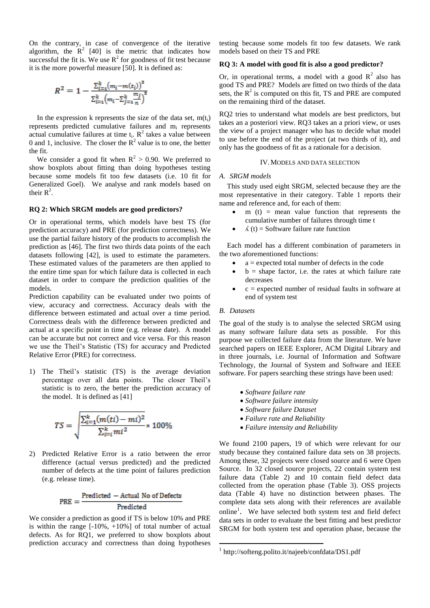On the contrary, in case of convergence of the iterative algorithm, the  $R^2$  [40] is the metric that indicates how successful the fit is. We use  $R^2$  for goodness of fit test because it is the more powerful measure [50]. It is defined as:

$$
R^{2} = 1 - \frac{\sum_{i=1}^{k} (m_{i} - m(t_{i}))^{2}}{\sum_{i=1}^{k} (m_{i} - \sum_{j=1}^{k} \frac{m_{j}}{n})^{2}}
$$

In the expression k represents the size of the data set,  $m(t_i)$ represents predicted cumulative failures and m<sup>i</sup> represents actual cumulative failures at time  $t_i$ .  $R^2$  takes a value between 0 and 1, inclusive. The closer the  $R^2$  value is to one, the better the fit.

We consider a good fit when  $R^2 > 0.90$ . We preferred to show boxplots about fitting than doing hypotheses testing because some models fit too few datasets (i.e. 10 fit for Generalized Goel). We analyse and rank models based on their  $R^2$ .

#### **RQ 2: Which SRGM models are good predictors?**

Or in operational terms, which models have best TS (for prediction accuracy) and PRE (for prediction correctness). We use the partial failure history of the products to accomplish the prediction as [46]. The first two thirds data points of the each datasets following [42], is used to estimate the parameters. These estimated values of the parameters are then applied to the entire time span for which failure data is collected in each dataset in order to compare the prediction qualities of the models.

Prediction capability can be evaluated under two points of view, accuracy and correctness. Accuracy deals with the difference between estimated and actual over a time period. Correctness deals with the difference between predicted and actual at a specific point in time (e.g. release date). A model can be accurate but not correct and vice versa. For this reason we use the Theil's Statistic (TS) for accuracy and Predicted Relative Error (PRE) for correctness.

1) The Theil's statistic (TS) is the average deviation percentage over all data points. The closer Theil's statistic is to zero, the better the prediction accuracy of the model. It is defined as [41]

$$
TS = \sqrt{\frac{\sum_{i=1}^{k} (m(ti) - mi)^2}{\sum_{i=1}^{k} mi^2}} * 100\%
$$

2) Predicted Relative Error is a ratio between the error difference (actual versus predicted) and the predicted number of defects at the time point of failures prediction (e.g. release time).

$$
PRE = \frac{Predicted - Actual No of Defects}{Predicted}
$$

We consider a prediction as good if TS is below 10% and PRE is within the range  $[-10\% , +10\%]$  of total number of actual defects. As for RQ1, we preferred to show boxplots about prediction accuracy and correctness than doing hypotheses testing because some models fit too few datasets. We rank models based on their TS and PRE

# **RQ 3: A model with good fit is also a good predictor?**

Or, in operational terms, a model with a good  $\mathbb{R}^2$  also has good TS and PRE? Models are fitted on two thirds of the data sets, the  $R<sup>2</sup>$  is computed on this fit, TS and PRE are computed on the remaining third of the dataset.

RQ2 tries to understand what models are best predictors, but takes an a posteriori view. RQ3 takes an a priori view, or uses the view of a project manager who has to decide what model to use before the end of the project (at two thirds of it), and only has the goodness of fit as a rationale for a decision.

## IV.MODELS AND DATA SELECTION

# *A. SRGM models*

This study used eight SRGM, selected because they are the most representative in their category. Table 1 reports their name and reference and, for each of them:

- $m(t)$  = mean value function that represents the cumulative number of failures through time t
- $\Lambda$  (t) = Software failure rate function

Each model has a different combination of parameters in the two aforementioned functions:

- $a = expected total number of defects in the code$
- $b =$  shape factor, i.e. the rates at which failure rate decreases
- $c =$  expected number of residual faults in software at end of system test

# *B. Datasets*

1

The goal of the study is to analyse the selected SRGM using as many software failure data sets as possible. For this purpose we collected failure data from the literature. We have searched papers on IEEE Explorer, ACM Digital Library and in three journals, i.e. Journal of Information and Software Technology, the Journal of System and Software and IEEE software. For papers searching these strings have been used:

- *Software failure rate*
- *Software failure intensity*
- *Software failure Dataset*
- *Failure rate and Reliability*
- *Failure intensity and Reliability*

We found 2100 papers, 19 of which were relevant for our study because they contained failure data sets on 38 projects. Among these, 32 projects were closed source and 6 were Open Source. In 32 closed source projects, 22 contain system test failure data (Table 2) and 10 contain field defect data collected from the operation phase (Table 3). OSS projects data (Table 4) have no distinction between phases. The complete data sets along with their references are available online<sup>1</sup>. We have selected both system test and field defect data sets in order to evaluate the best fitting and best predictor SRGM for both system test and operation phase, because the

<sup>1</sup> http://softeng.polito.it/najeeb/confdata/DS1.pdf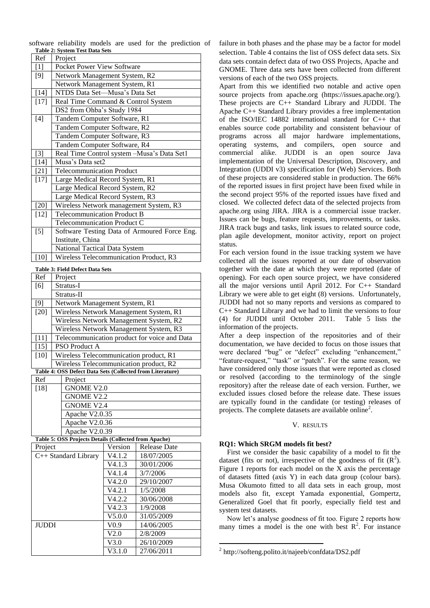|                                |  |  | software reliability models are used for the prediction of |  |
|--------------------------------|--|--|------------------------------------------------------------|--|
| Table 2: System Test Data Sets |  |  |                                                            |  |

| Ref    | Project                                      |
|--------|----------------------------------------------|
| $[1]$  | Pocket Power View Software                   |
| [9]    | Network Management System, R2                |
|        | Network Management System, R1                |
| $[14]$ | NTDS Data Set-Musa's Data Set                |
| $[17]$ | Real Time Command & Control System           |
|        | DS2 from Ohba's Study 1984                   |
| [4]    | Tandem Computer Software, R1                 |
|        | Tandem Computer Software, R2                 |
|        | Tandem Computer Software, R3                 |
|        | Tandem Computer Software, R4                 |
| $[3]$  | Real Time Control system -Musa's Data Set1   |
| $[14]$ | Musa's Data set2                             |
| $[21]$ | <b>Telecommunication Product</b>             |
| $[17]$ | Large Medical Record System, R1              |
|        | Large Medical Record System, R2              |
|        | Large Medical Record System, R3              |
| $[20]$ | Wireless Network management System, R3       |
| $[12]$ | <b>Telecommunication Product B</b>           |
|        | Telecommunication Product C                  |
| $[5]$  | Software Testing Data of Armoured Force Eng. |
|        | Institute, China                             |
|        | National Tactical Data System                |
| [10]   | Wireless Telecommunication Product, R3       |

#### **Table 3: Field Defect Data Sets**

| Ref          | Project                                                   |                      |                                              |  |  |  |
|--------------|-----------------------------------------------------------|----------------------|----------------------------------------------|--|--|--|
| [6]          | Stratus-I                                                 |                      |                                              |  |  |  |
|              | Stratus-II                                                |                      |                                              |  |  |  |
| $[9]$        | Network Management System, R1                             |                      |                                              |  |  |  |
| $[20]$       | Wireless Network Management System, R1                    |                      |                                              |  |  |  |
|              | Wireless Network Management System, R2                    |                      |                                              |  |  |  |
|              | Wireless Network Management System, R3                    |                      |                                              |  |  |  |
| $[11]$       |                                                           |                      | Telecommunication product for voice and Data |  |  |  |
| $[15]$       | <b>PSO Product A</b>                                      |                      |                                              |  |  |  |
| $[10]$       | Wireless Telecommunication product, R1                    |                      |                                              |  |  |  |
|              | Wireless Telecommunication product, R2                    |                      |                                              |  |  |  |
|              | Table 4: OSS Defect Data Sets (Collected from Literature) |                      |                                              |  |  |  |
| Ref          | Project                                                   |                      |                                              |  |  |  |
| $[18]$       | <b>GNOME V2.0</b>                                         |                      |                                              |  |  |  |
|              | <b>GNOME V2.2</b>                                         |                      |                                              |  |  |  |
|              | <b>GNOME V2.4</b>                                         |                      |                                              |  |  |  |
|              | Apache V2.0.35                                            |                      |                                              |  |  |  |
|              | Apache V2.0.36                                            |                      |                                              |  |  |  |
|              | Apache V2.0.39                                            |                      |                                              |  |  |  |
|              | Table 5: OSS Projects Details (Collected from Apache)     |                      |                                              |  |  |  |
| Project      |                                                           | Version              | <b>Release Date</b>                          |  |  |  |
|              | C++ Standard Library                                      | $\overline{V}$ 4.1.2 | 18/07/2005                                   |  |  |  |
|              |                                                           | V4.1.3               | 30/01/2006                                   |  |  |  |
|              |                                                           | V4.1.4               | $\frac{1}{37}{7/2006}$                       |  |  |  |
|              |                                                           | V4.2.0               | 29/10/2007                                   |  |  |  |
|              |                                                           | V4.2.1               | 1/5/2008                                     |  |  |  |
|              |                                                           | V4.2.2               | 30/06/2008                                   |  |  |  |
|              |                                                           | V4.2.3               | 1/9/2008                                     |  |  |  |
|              |                                                           | V5.0.0               | 31/05/2009                                   |  |  |  |
| <b>JUDDI</b> |                                                           | V <sub>0.9</sub>     | 14/06/2005                                   |  |  |  |
|              |                                                           | V2.0                 | 2/8/2009                                     |  |  |  |
|              |                                                           | V3.0                 | 26/10/2009                                   |  |  |  |

V3.1.0 27/06/2011

failure in both phases and the phase may be a factor for model selection. Table 4 contains the list of OSS defect data sets. Six data sets contain defect data of two OSS Projects, Apache and GNOME. Three data sets have been collected from different versions of each of the two OSS projects.

Apart from this we identified two notable and active open source projects from apache.org (https://issues.apache.org/). These projects are C++ Standard Library and JUDDI. The Apache C++ Standard Library provides a free implementation of the ISO/IEC 14882 international standard for C++ that enables source code portability and consistent behaviour of programs across all major hardware implementations, operating systems, and compilers, open source and commercial alike. JUDDI is an open source Java implementation of the Universal Description, Discovery, and Integration (UDDI v3) specification for (Web) Services. Both of these projects are considered stable in production. The 66% of the reported issues in first project have been fixed while in the second project 95% of the reported issues have fixed and closed. We collected defect data of the selected projects from apache.org using JIRA. JIRA is a commercial issue tracker. Issues can be bugs, feature requests, improvements, or tasks. JIRA track bugs and tasks, link issues to related source code, plan agile development, monitor activity, report on project status.

For each version found in the issue tracking system we have collected all the issues reported at our date of observation together with the date at which they were reported (date of opening). For each open source project, we have considered all the major versions until April 2012. For C++ Standard Library we were able to get eight (8) versions. Unfortunately, JUDDI had not so many reports and versions as compared to C++ Standard Library and we had to limit the versions to four (4) for JUDDI until October 2011. Table 5 lists the information of the projects.

After a deep inspection of the repositories and of their documentation, we have decided to focus on those issues that were declared "bug" or "defect" excluding "enhancement," "feature-request," "task" or "patch". For the same reason, we have considered only those issues that were reported as closed or resolved (according to the terminology of the single repository) after the release date of each version. Further, we excluded issues closed before the release date. These issues are typically found in the candidate (or testing) releases of projects. The complete datasets are available online<sup>2</sup>.

#### V. RESULTS

#### **RQ1: Which SRGM models fit best?**

First we consider the basic capability of a model to fit the dataset (fits or not), irrespective of the goodness of fit  $(R<sup>2</sup>)$ . Figure 1 reports for each model on the X axis the percentage of datasets fitted (axis Y) in each data group (colour bars). Musa Okumoto fitted to all data sets in each group, most models also fit, except Yamada exponential, Gompertz, Generalized Goel that fit poorly, especially field test and system test datasets.

Now let's analyse goodness of fit too. Figure 2 reports how many times a model is the one with best  $\mathbb{R}^2$ . For instance

1

<sup>&</sup>lt;sup>2</sup> http://softeng.polito.it/najeeb/confdata/DS2.pdf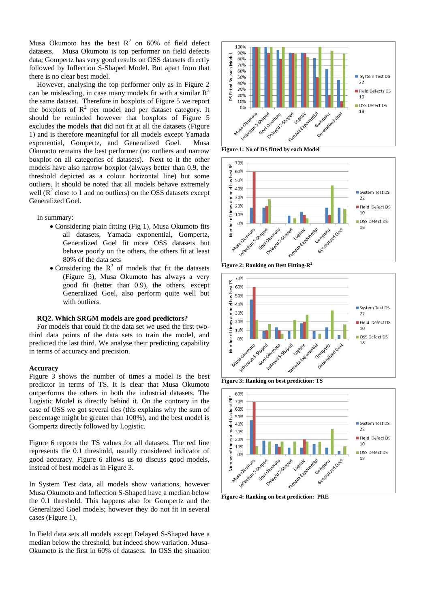Musa Okumoto has the best  $R^2$  on 60% of field defect datasets. Musa Okumoto is top performer on field defects data; Gompertz has very good results on OSS datasets directly followed by Inflection S-Shaped Model. But apart from that there is no clear best model.

However, analysing the top performer only as in Figure 2 can be misleading, in case many models fit with a similar  $R^2$ the same dataset. Therefore in boxplots of Figure 5 we report the boxplots of  $R^2$  per model and per dataset category. It should be reminded however that boxplots of Figure 5 excludes the models that did not fit at all the datasets (Figure 1) and is therefore meaningful for all models except Yamada exponential, Gompertz, and Generalized Goel. Musa Okumoto remains the best performer (no outliers and narrow boxplot on all categories of datasets). Next to it the other models have also narrow boxplot (always better than 0.9, the threshold depicted as a colour horizontal line) but some outliers. It should be noted that all models behave extremely well ( $R<sup>2</sup>$  close to 1 and no outliers) on the OSS datasets except Generalized Goel.

In summary:

- Considering plain fitting (Fig 1), Musa Okumoto fits all datasets, Yamada exponential, Gompertz, Generalized Goel fit more OSS datasets but behave poorly on the others, the others fit at least 80% of the data sets
- Considering the  $R^2$  of models that fit the datasets (Figure 5), Musa Okumoto has always a very good fit (better than 0.9), the others, except Generalized Goel, also perform quite well but with outliers.

## **RQ2. Which SRGM models are good predictors?**

For models that could fit the data set we used the first twothird data points of the data sets to train the model, and predicted the last third. We analyse their predicting capability in terms of accuracy and precision.

## **Accuracy**

Figure 3 shows the number of times a model is the best predictor in terms of TS. It is clear that Musa Okumoto outperforms the others in both the industrial datasets. The Logistic Model is directly behind it. On the contrary in the case of OSS we got several ties (this explains why the sum of percentage might be greater than 100%), and the best model is Gompertz directly followed by Logistic.

Figure 6 reports the TS values for all datasets. The red line represents the 0.1 threshold, usually considered indicator of good accuracy. Figure 6 allows us to discuss good models, instead of best model as in Figure 3.

In System Test data, all models show variations, however Musa Okumoto and Inflection S-Shaped have a median below the 0.1 threshold. This happens also for Gompertz and the Generalized Goel models; however they do not fit in several cases (Figure 1).

In Field data sets all models except Delayed S-Shaped have a median below the threshold, but indeed show variation. Musa-Okumoto is the first in 60% of datasets. In OSS the situation



**Figure 1: No of DS fitted by each Model**



**Figure 2: Ranking on Best Fitting-R 2**



**Figure 3: Ranking on best prediction: TS** 



**Figure 4: Ranking on best prediction: PRE**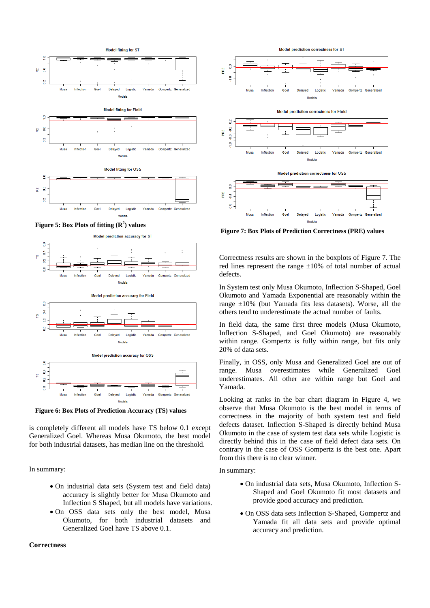







**Figure 6: Box Plots of Prediction Accuracy (TS) values**

Delaved

 $10$ 

Gomnertz, Generalized

Goel

Inflection

Musa

is completely different all models have TS below 0.1 except Generalized Goel. Whereas Musa Okumoto, the best model for both industrial datasets, has median line on the threshold.

In summary:

- On industrial data sets (System test and field data) accuracy is slightly better for Musa Okumoto and Inflection S Shaped, but all models have variations.
- On OSS data sets only the best model, Musa Okumoto, for both industrial datasets and Generalized Goel have TS above 0.1.

# **Correctness**



**Figure 7: Box Plots of Prediction Correctness (PRE) values**

Correctness results are shown in the boxplots of Figure 7. The red lines represent the range  $\pm 10\%$  of total number of actual defects.

In System test only Musa Okumoto, Inflection S-Shaped, Goel Okumoto and Yamada Exponential are reasonably within the range  $\pm 10\%$  (but Yamada fits less datasets). Worse, all the others tend to underestimate the actual number of faults.

In field data, the same first three models (Musa Okumoto, Inflection S-Shaped, and Goel Okumoto) are reasonably within range. Gompertz is fully within range, but fits only 20% of data sets.

Finally, in OSS, only Musa and Generalized Goel are out of range. Musa overestimates while Generalized Goel underestimates. All other are within range but Goel and Yamada.

Looking at ranks in the bar chart diagram in Figure 4, we observe that Musa Okumoto is the best model in terms of correctness in the majority of both system test and field defects dataset. Inflection S-Shaped is directly behind Musa Okumoto in the case of system test data sets while Logistic is directly behind this in the case of field defect data sets. On contrary in the case of OSS Gompertz is the best one. Apart from this there is no clear winner.

# In summary:

- On industrial data sets, Musa Okumoto, Inflection S-Shaped and Goel Okumoto fit most datasets and provide good accuracy and prediction.
- On OSS data sets Inflection S-Shaped, Gompertz and Yamada fit all data sets and provide optimal accuracy and prediction.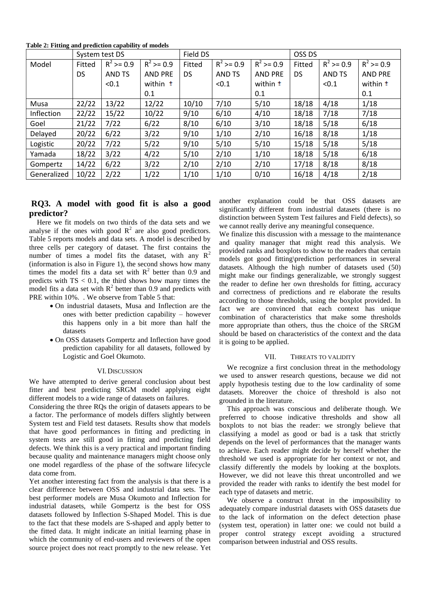**Table 2: Fitting and prediction capability of models**

|             | System test DS |              |                     | Field DS  |              |                 | OSS DS    |              |                 |
|-------------|----------------|--------------|---------------------|-----------|--------------|-----------------|-----------|--------------|-----------------|
| Model       | Fitted         | $R^2$ >= 0.9 | $R^2$ >= 0.9        | Fitted    | $R^2$ >= 0.9 | $R^2$ >= 0.9    | Fitted    | $R^2$ >= 0.9 | $R^2$ >= 0.9    |
|             | DS.            | AND TS       | <b>AND PRE</b>      | <b>DS</b> | AND TS       | <b>AND PRE</b>  | <b>DS</b> | AND TS       | <b>AND PRE</b>  |
|             |                | < 0.1        | within <sup>±</sup> |           | < 0.1        | within <b>±</b> |           | < 0.1        | within <b>±</b> |
|             |                |              | 0.1                 |           |              | 0.1             |           |              | 0.1             |
| Musa        | 22/22          | 13/22        | 12/22               | 10/10     | 7/10         | 5/10            | 18/18     | 4/18         | 1/18            |
| Inflection  | 22/22          | 15/22        | 10/22               | 9/10      | 6/10         | 4/10            | 18/18     | 7/18         | 7/18            |
| Goel        | 21/22          | 7/22         | 6/22                | 8/10      | 6/10         | 3/10            | 18/18     | 5/18         | 6/18            |
| Delayed     | 20/22          | 6/22         | 3/22                | 9/10      | 1/10         | 2/10            | 16/18     | 8/18         | 1/18            |
| Logistic    | 20/22          | 7/22         | 5/22                | 9/10      | 5/10         | 5/10            | 15/18     | 5/18         | 5/18            |
| Yamada      | 18/22          | 3/22         | 4/22                | 5/10      | 2/10         | 1/10            | 18/18     | 5/18         | 6/18            |
| Gompertz    | 14/22          | 6/22         | 3/22                | 2/10      | 2/10         | 2/10            | 17/18     | 8/18         | 8/18            |
| Generalized | 10/22          | 2/22         | 1/22                | 1/10      | 1/10         | 0/10            | 16/18     | 4/18         | 2/18            |

# **RQ3. A model with good fit is also a good predictor?**

Here we fit models on two thirds of the data sets and we analyse if the ones with good  $R^2$  are also good predictors. Table 5 reports models and data sets. A model is described by three cells per category of dataset. The first contains the number of times a model fits the dataset, with any  $R^2$ (information is also in Figure 1), the second shows how many times the model fits a data set with  $R^2$  better than 0.9 and predicts with  $TS < 0.1$ , the third shows how many times the model fits a data set with  $R^2$  better than 0.9 and predicts with PRE within 10%. . We observe from Table 5 that:

- On industrial datasets, Musa and Inflection are the ones with better prediction capability – however this happens only in a bit more than half the datasets
- On OSS datasets Gompertz and Inflection have good prediction capability for all datasets, followed by Logistic and Goel Okumoto.

#### VI.DISCUSSION

We have attempted to derive general conclusion about best fitter and best predicting SRGM model applying eight different models to a wide range of datasets on failures.

Considering the three RQs the origin of datasets appears to be a factor. The performance of models differs slightly between System test and Field test datasets. Results show that models that have good performances in fitting and predicting in system tests are still good in fitting and predicting field defects. We think this is a very practical and important finding because quality and maintenance managers might choose only one model regardless of the phase of the software lifecycle data come from.

Yet another interesting fact from the analysis is that there is a clear difference between OSS and industrial data sets. The best performer models are Musa Okumoto and Inflection for industrial datasets, while Gompertz is the best for OSS datasets followed by Inflection S-Shaped Model. This is due to the fact that these models are S-shaped and apply better to the fitted data. It might indicate an initial learning phase in which the community of end-users and reviewers of the open source project does not react promptly to the new release. Yet another explanation could be that OSS datasets are significantly different from industrial datasets (there is no distinction between System Test failures and Field defects), so we cannot really derive any meaningful consequence.

We finalize this discussion with a message to the maintenance and quality manager that might read this analysis. We provided ranks and boxplots to show to the readers that certain models got good fitting\prediction performances in several datasets. Although the high number of datasets used (50) might make our findings generalizable, we strongly suggest the reader to define her own thresholds for fitting, accuracy and correctness of predictions and re elaborate the results according to those thresholds, using the boxplot provided. In fact we are convinced that each context has unique combination of characteristics that make some thresholds more appropriate than others, thus the choice of the SRGM should be based on characteristics of the context and the data it is going to be applied.

#### VII. THREATS TO VALIDITY

We recognize a first conclusion threat in the methodology we used to answer research questions, because we did not apply hypothesis testing due to the low cardinality of some datasets. Moreover the choice of threshold is also not grounded in the literature.

This approach was conscious and deliberate though. We preferred to choose indicative thresholds and show all boxplots to not bias the reader: we strongly believe that classifying a model as good or bad is a task that strictly depends on the level of performances that the manager wants to achieve. Each reader might decide by herself whether the threshold we used is appropriate for her context or not, and classify differently the models by looking at the boxplots. However, we did not leave this threat uncontrolled and we provided the reader with ranks to identify the best model for each type of datasets and metric.

We observe a construct threat in the impossibility to adequately compare industrial datasets with OSS datasets due to the lack of information on the defect detection phase (system test, operation) in latter one: we could not build a proper control strategy except avoiding a structured comparison between industrial and OSS results.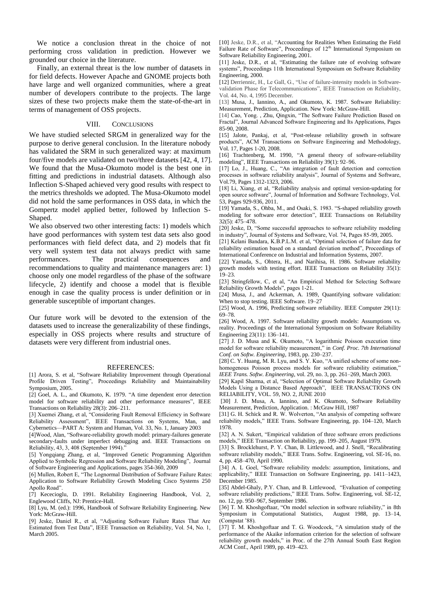We notice a conclusion threat in the choice of not performing cross validation in prediction. However we grounded our choice in the literature.

Finally, an external threat is the low number of datasets in for field defects. However Apache and GNOME projects both have large and well organized communities, where a great number of developers contribute to the projects. The large sizes of these two projects make them the state-of-the-art in terms of management of OSS projects.

# VIII. CONCLUSIONS

We have studied selected SRGM in generalized way for the purpose to derive general conclusion. In the literature nobody has validated the SRM in such generalized way: at maximum four/five models are validated on two/three datasets [42, 4, 17]. We found that the Musa-Okumoto model is the best one in fitting and predictions in industrial datasets. Although also Inflection S-Shaped achieved very good results with respect to the metrics thresholds we adopted. The Musa-Okumoto model did not hold the same performances in OSS data, in which the Gompertz model applied better, followed by Inflection S-Shaped.

We also observed two other interesting facts: 1) models which have good performances with system test data sets also good performances with field defect data, and 2) models that fit very well system test data not always predict with same performances. The practical consequences and recommendations to quality and maintenance managers are: 1) choose only one model regardless of the phase of the software lifecycle, 2) identify and choose a model that is flexible enough in case the quality process is under definition or in generable susceptible of important changes.

Our future work will be devoted to the extension of the datasets used to increase the generalizability of these findings, especially in OSS projects where results and structure of datasets were very different from industrial ones.

# REFERENCES:

[1] Arora, S. et al, "Software Reliability Improvement through Operational Profile Driven Testing", Proceedings Reliability and Maintainability Symposium, 2005.

[2] Goel, A. L., and Okumoto, K. 1979. "A time dependent error detection model for software reliability and other performance measures", IEEE Transactions on Reliability 28(3): 206–211.

[3] Xuemei Zhang, et al, "Considering Fault Removal Efficiency in Software Reliability Assessment", IEEE Transactions on Systems, Man, and Cybernetics—PART A: System and Human, Vol. 33, No. 1, January 2003

[4]Wood, Alan, "Software-reliability growth model: primary-failures generate secondary-faults under imperfect debugging and. IEEE Transactions on Reliability, 43, 3, 408 (September 1994).'

[5] Yongqiang Zhang, et al, "Improved Genetic Programming Algorithm Applied to Symbolic Regression and Software Reliability Modeling", Journal of Software Engineering and Applications, pages 354-360, 2009

[6] Mullen, Robert E, "The Lognormal Distribution of Software Failure Rates: Application to Software Reliability Growth Modeling Cisco Systems 250 Apollo Road".

[7] Kececioglu, D. 1991. Reliability Engineering Handbook, Vol. 2, Englewood Cliffs, NJ: Prentice-Hall.

[8] Lyu, M. (ed.): 1996, Handbook of Software Reliability Engineering. New York: McGraw-Hill.

[9] Jeske, Daniel R., et al, "Adjusting Software Failure Rates That Are Estimated from Test Data", IEEE Transaction on Reliability, Vol. 54, No. 1, March 2005.

[10] Jeske, D.R., et al, "Accounting for Realities When Estimating the Field Failure Rate of Software", Proceedings of  $12<sup>th</sup>$  International Symposium on Software Reliability Engineering, 2001.

[11] Jeske, D.R., et al, "Estimating the failure rate of evolving software systems", Proceedings 11th International Symposium on Software Reliability Engineering, 2000.

[12] Derriennic, H., Le Gall, G., "Use of failure-intensity models in Softwarevalidation Phase for Telecommunications", IEEE Transaction on Reliability, Vol. 44, No. 4, 1995 December.

[13] Musa, J., Iannino, A., and Okumoto, K. 1987. Software Reliability: Measurement, Prediction, Application. New York: McGraw-Hill.

[14] Cao, Yong., Zhu, Qingxin, "The Software Failure Prediction Based on Fractal", Journal Advanced Software Engineering and Its Applications, Pages 85-90, 2008.

[15] Jalote, Pankaj, et al, "Post-release reliability growth in software products", ACM Transactions on Software Engineering and Methodology, Vol. 17, Pages 1-20, 2008.

[16] Trachtenberg, M. 1990, "A general theory of software-reliability modeling", IEEE Transactions on Reliability 39(1): 92–96.

[17] Lo, J., Huang, C., "An integration of fault detection and correction processes in software reliability analysis", Journal of Systems and Software, Vol.79, Pages 1312-1323, 2006.

[18] Li, Xiang, et al, "Reliability analysis and optimal version-updating for open source software", Journal of Information and Software Technology, Vol. 53, Pages 929-936, 2011.

[19] Yamada, S., Ohba, M., and Osaki, S. 1983. "S-shaped reliability growth modeling for software error detection", IEEE Transactions on Reliability  $32(5)$ :  $475-478$ .

[20] Jeske, D, "Some successful approaches to software reliability modeling in industry", Journal of Systems and Software, Vol. 74, Pages 85-99, 2005.

[21] Kelani Bandara, K.B.P.L.M. et al, "Optimal selection of failure data for reliability estimation based on a standard deviation method", Proceedings of International Conference on Industrial and Information Systems, 2007.

[22] Yamada, S., Ohtera, H., and Narihisa, H. 1986. Software reliability growth models with testing effort. IEEE Transactions on Reliability 35(1):  $19-23$ 

[23] Stringfellow, C, et al, "An Empirical Method for Selecting Software Reliability Growth Models", pages 1-21.

[24] Musa, J., and Ackerman, A. 1989, Quantifying software validation: When to stop testing. IEEE Software. 19–27

[25] Wood, A. 1996, Predicting software reliability. IEEE Computer 29(11): 69–78.

[26] Wood, A. 1997. Software reliability growth models: Assumptions vs. reality. Proceedings of the International Symposium on Software Reliability Engineering 23(11): 136–141.

[27] J. D. Musa and K. Okumoto, "A logarithmic Poisson execution time model for software reliability measurement," in *Conf. Proc. 7th International Conf. on Softw. Engineering*, 1983, pp. 230–237.

[28] C. Y. Huang, M. R. Lyu, and S. Y. Kuo, "A unified scheme of some nonhomogenous Poisson process models for software reliability estimation, *IEEE Trans. Softw. Engineering*, vol. 29, no. 3, pp. 261–269, March 2003.

[29] Kapil Sharma, et al, "Selection of Optimal Software Reliability Growth Models Using a Distance Based Approach", IEEE TRANSACTIONS ON RELIABILITY, VOL. 59, NO. 2, JUNE 2010

[30] J. D. Musa, A. Iannino, and K. Okumoto, Software Reliability Measurement, Prediction, Application. : McGraw Hill, 1987

[31] G. H. Schick and R. W. Wolverton, "An analysis of competing software reliability models," IEEE Trans. Software Engineering, pp. 104–120, March 1978.

[32] A. N. Sukert, "Empirical validation of three software errors predictions models," IEEE Transaction on Reliability, pp. 199–205, August 1979.

[33] S. Brocklehurst, P. Y. Chan, B. Littlewood, and J. Snell, "Recalibrating software reliability models," IEEE Trans. Softw. Engineering, vol. SE-16, no. 4, pp. 458–470, April 1990.

[34] A. L Goel, "Software reliability models: assumption, limitations, and applicability," IEEE Transaction on Software Engineering, pp. 1411–1423, December 1985.

[35] Abdel-Ghaly, P.Y. Chan, and B. Littlewood, "Evaluation of competing software reliability predictions," IEEE Trans. Softw. Engineering, vol. SE-12, no. 12, pp. 950–967, September 1986.

[36] T. M. Khoshgoftaar, "On model selection in software reliability," in 8th Symposium in Computational Statistics, August 1988, pp. 13–14, (Compstat '88).

 $\overline{1}$  (371 T. M. Khoshgoftaar and T. G. Woodcock, "A simulation study of the performance of the Akaike information criterion for the selection of software reliability growth models," in Proc. of the 27th Annual South East Region ACM Conf., April 1989, pp. 419–423.